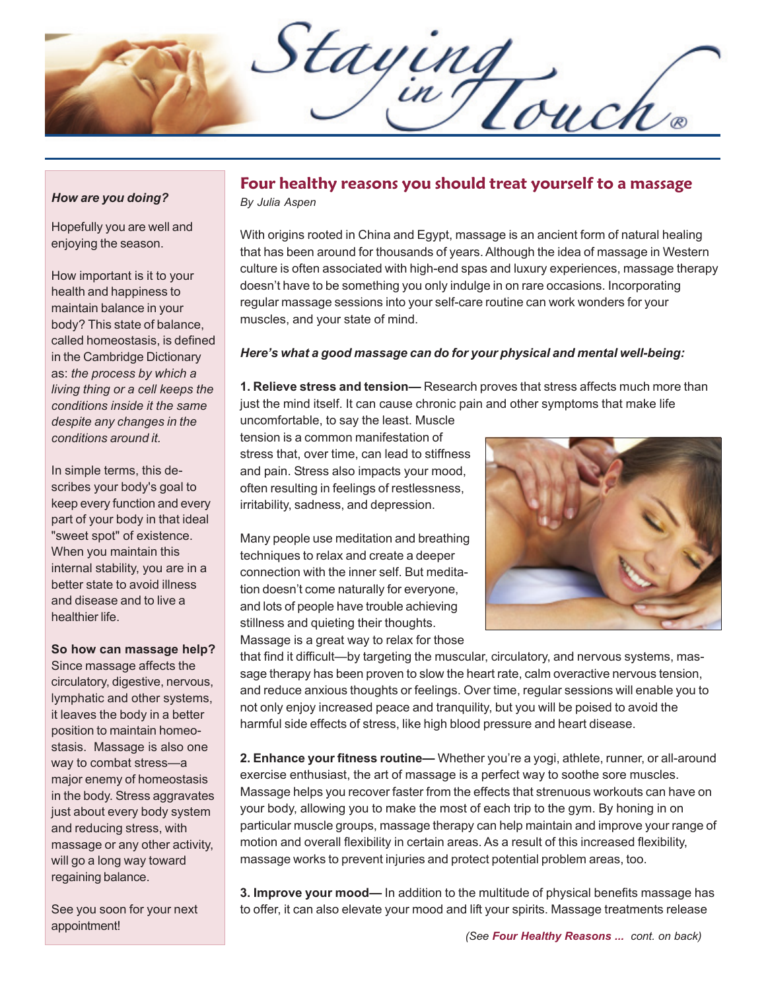Staying

#### *How are you doing?*

Hopefully you are well and enjoying the season.

How important is it to your health and happiness to maintain balance in your body? This state of balance, called homeostasis, is defined in the Cambridge Dictionary as: *the process by which a living thing or a cell keeps the conditions inside it the same despite any changes in the conditions around it.*

In simple terms, this describes your body's goal to keep every function and every part of your body in that ideal "sweet spot" of existence. When you maintain this internal stability, you are in a better state to avoid illness and disease and to live a healthier life.

**So how can massage help?**

Since massage affects the circulatory, digestive, nervous, lymphatic and other systems, it leaves the body in a better position to maintain homeostasis. Massage is also one way to combat stress—a major enemy of homeostasis in the body. Stress aggravates just about every body system and reducing stress, with massage or any other activity, will go a long way toward regaining balance.

See you soon for your next appointment!

### **Four healthy reasons you should treat yourself to a massage** *By Julia Aspen*

With origins rooted in China and Egypt, massage is an ancient form of natural healing that has been around for thousands of years. Although the idea of massage in Western culture is often associated with high-end spas and luxury experiences, massage therapy doesn't have to be something you only indulge in on rare occasions. Incorporating regular massage sessions into your self-care routine can work wonders for your muscles, and your state of mind.

#### *Here's what a good massage can do for your physical and mental well-being:*

**1. Relieve stress and tension—** Research proves that stress affects much more than just the mind itself. It can cause chronic pain and other symptoms that make life

uncomfortable, to say the least. Muscle tension is a common manifestation of stress that, over time, can lead to stiffness and pain. Stress also impacts your mood, often resulting in feelings of restlessness, irritability, sadness, and depression.

Many people use meditation and breathing techniques to relax and create a deeper connection with the inner self. But meditation doesn't come naturally for everyone, and lots of people have trouble achieving stillness and quieting their thoughts.



Massage is a great way to relax for those

that find it difficult—by targeting the muscular, circulatory, and nervous systems, massage therapy has been proven to slow the heart rate, calm overactive nervous tension, and reduce anxious thoughts or feelings. Over time, regular sessions will enable you to not only enjoy increased peace and tranquility, but you will be poised to avoid the harmful side effects of stress, like high blood pressure and heart disease.

**2. Enhance your fitness routine—** Whether you're a yogi, athlete, runner, or all-around exercise enthusiast, the art of massage is a perfect way to soothe sore muscles. Massage helps you recover faster from the effects that strenuous workouts can have on your body, allowing you to make the most of each trip to the gym. By honing in on particular muscle groups, massage therapy can help maintain and improve your range of motion and overall flexibility in certain areas. As a result of this increased flexibility, massage works to prevent injuries and protect potential problem areas, too.

**3. Improve your mood—** In addition to the multitude of physical benefits massage has to offer, it can also elevate your mood and lift your spirits. Massage treatments release